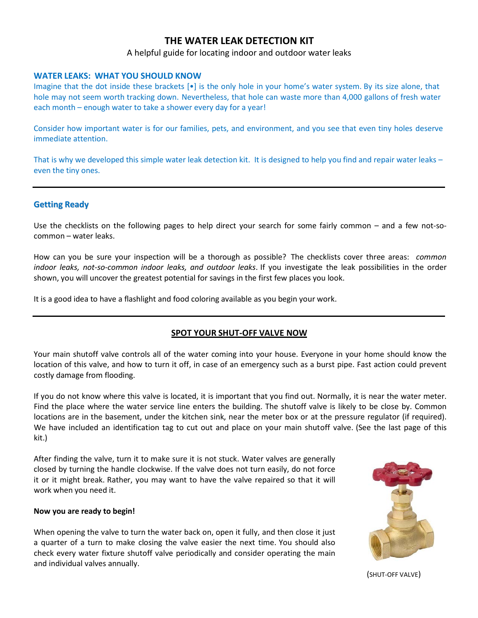## **THE WATER LEAK DETECTION KIT**

## A helpful guide for locating indoor and outdoor water leaks

#### **WATER LEAKS: WHAT YOU SHOULD KNOW**

Imagine that the dot inside these brackets  $\cdot \cdot \cdot$  is the only hole in your home's water system. By its size alone, that hole may not seem worth tracking down. Nevertheless, that hole can waste more than 4,000 gallons of fresh water each month – enough water to take a shower every day for a year!

Consider how important water is for our families, pets, and environment, and you see that even tiny holes deserve immediate attention.

That is why we developed this simple water leak detection kit. It is designed to help you find and repair water leaks – even the tiny ones.

#### **Getting Ready**

Use the checklists on the following pages to help direct your search for some fairly common – and a few not-socommon – water leaks.

How can you be sure your inspection will be a thorough as possible? The checklists cover three areas: *common indoor leaks, not-so-common indoor leaks, and outdoor leaks*. If you investigate the leak possibilities in the order shown, you will uncover the greatest potential for savings in the first few places you look.

It is a good idea to have a flashlight and food coloring available as you begin your work.

### **SPOT YOUR SHUT-OFF VALVE NOW**

Your main shutoff valve controls all of the water coming into your house. Everyone in your home should know the location of this valve, and how to turn it off, in case of an emergency such as a burst pipe. Fast action could prevent costly damage from flooding.

If you do not know where this valve is located, it is important that you find out. Normally, it is near the water meter. Find the place where the water service line enters the building. The shutoff valve is likely to be close by. Common locations are in the basement, under the kitchen sink, near the meter box or at the pressure regulator (if required). We have included an identification tag to cut out and place on your main shutoff valve. (See the last page of this kit.)

After finding the valve, turn it to make sure it is not stuck. Water valves are generally closed by turning the handle clockwise. If the valve does not turn easily, do not force it or it might break. Rather, you may want to have the valve repaired so that it will work when you need it.

#### **Now you are ready to begin!**

When opening the valve to turn the water back on, open it fully, and then close it just a quarter of a turn to make closing the valve easier the next time. You should also check every water fixture shutoff valve periodically and consider operating the main and individual valves annually.



(SHUT-OFF VALVE)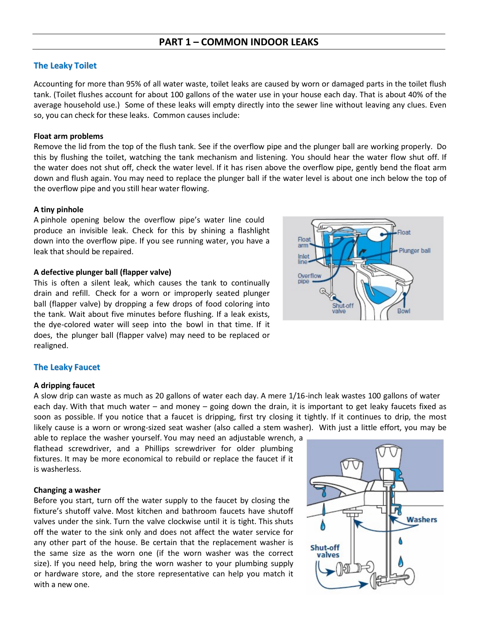## **PART 1 – COMMON INDOOR LEAKS**

## **The Leaky Toilet**

Accounting for more than 95% of all water waste, toilet leaks are caused by worn or damaged parts in the toilet flush tank. (Toilet flushes account for about 100 gallons of the water use in your house each day. That is about 40% of the average household use.) Some of these leaks will empty directly into the sewer line without leaving any clues. Even so, you can check for these leaks. Common causes include:

#### **Float arm problems**

Remove the lid from the top of the flush tank. See if the overflow pipe and the plunger ball are working properly. Do this by flushing the toilet, watching the tank mechanism and listening. You should hear the water flow shut off. If the water does not shut off, check the water level. If it has risen above the overflow pipe, gently bend the float arm down and flush again. You may need to replace the plunger ball if the water level is about one inch below the top of the overflow pipe and you still hear water flowing.

#### **A tiny pinhole**

A pinhole opening below the overflow pipe's water line could produce an invisible leak. Check for this by shining a flashlight down into the overflow pipe. If you see running water, you have a leak that should be repaired.

#### **A defective plunger ball (flapper valve)**

This is often a silent leak, which causes the tank to continually drain and refill. Check for a worn or improperly seated plunger ball (flapper valve) by dropping a few drops of food coloring into the tank. Wait about five minutes before flushing. If a leak exists, the dye-colored water will seep into the bowl in that time. If it does, the plunger ball (flapper valve) may need to be replaced or realigned.



## **The Leaky Faucet**

#### **A dripping faucet**

A slow drip can waste as much as 20 gallons of water each day. A mere 1/16-inch leak wastes 100 gallons of water each day. With that much water – and money – going down the drain, it is important to get leaky faucets fixed as soon as possible. If you notice that a faucet is dripping, first try closing it tightly. If it continues to drip, the most likely cause is a worn or wrong-sized seat washer (also called a stem washer). With just a little effort, you may be

able to replace the washer yourself. You may need an adjustable wrench, a flathead screwdriver, and a Phillips screwdriver for older plumbing fixtures. It may be more economical to rebuild or replace the faucet if it is washerless.

#### **Changing a washer**

Before you start, turn off the water supply to the faucet by closing the fixture's shutoff valve. Most kitchen and bathroom faucets have shutoff valves under the sink. Turn the valve clockwise until it is tight. This shuts off the water to the sink only and does not affect the water service for any other part of the house. Be certain that the replacement washer is the same size as the worn one (if the worn washer was the correct size). If you need help, bring the worn washer to your plumbing supply or hardware store, and the store representative can help you match it with a new one.

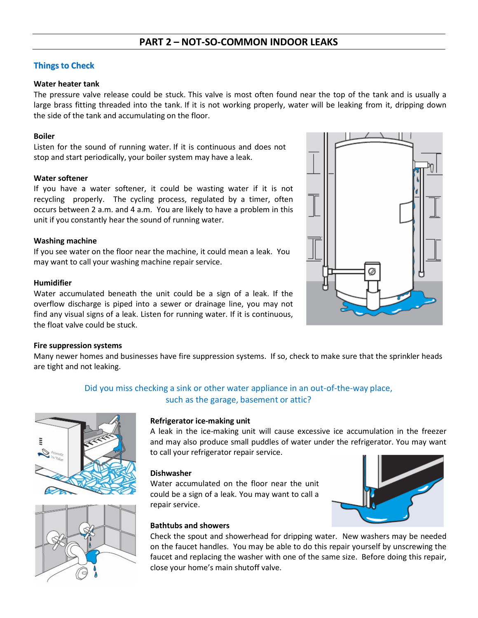## **Things to Check**

## **Water heater tank**

The pressure valve release could be stuck. This valve is most often found near the top of the tank and is usually a large brass fitting threaded into the tank. If it is not working properly, water will be leaking from it, dripping down the side of the tank and accumulating on the floor.

## **Boiler**

Listen for the sound of running water. If it is continuous and does not stop and start periodically, your boiler system may have a leak.

## **Water softener**

If you have a water softener, it could be wasting water if it is not recycling properly. The cycling process, regulated by a timer, often occurs between 2 a.m. and 4 a.m. You are likely to have a problem in this unit if you constantly hear the sound of running water.

## **Washing machine**

If you see water on the floor near the machine, it could mean a leak. You may want to call your washing machine repair service.

## **Humidifier**

Water accumulated beneath the unit could be a sign of a leak. If the overflow discharge is piped into a sewer or drainage line, you may not find any visual signs of a leak. Listen for running water. If it is continuous, the float valve could be stuck.

### **Fire suppression systems**

Many newer homes and businesses have fire suppression systems. If so, check to make sure that the sprinkler heads are tight and not leaking.

## Did you miss checking a sink or other water appliance in an out-of-the-way place, such as the garage, basement or attic?





### **Refrigerator ice-making unit**

A leak in the ice-making unit will cause excessive ice accumulation in the freezer and may also produce small puddles of water under the refrigerator. You may want to call your refrigerator repair service.

### **Dishwasher**

Water accumulated on the floor near the unit could be a sign of a leak. You may want to call a repair service.

### **Bathtubs and showers**

Check the spout and showerhead for dripping water. New washers may be needed on the faucet handles. You may be able to do this repair yourself by unscrewing the faucet and replacing the washer with one of the same size. Before doing this repair, close your home's main shutoff valve.